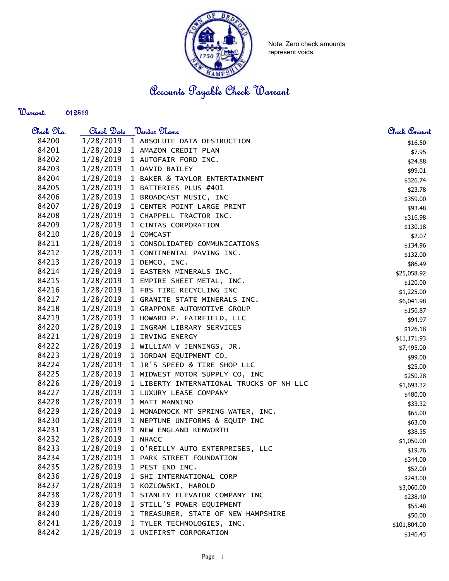

Note: Zero check amounts represent voids.

Accounts Payable Check Warrant

Warrant: 

| Check 97. | Check Date | <u> Vendor Name</u>                      | Check Amount |
|-----------|------------|------------------------------------------|--------------|
| 84200     | 1/28/2019  | 1 ABSOLUTE DATA DESTRUCTION              | \$16.50      |
| 84201     | 1/28/2019  | 1 AMAZON CREDIT PLAN                     | \$7.95       |
| 84202     |            | 1/28/2019 1 AUTOFAIR FORD INC.           | \$24.88      |
| 84203     | 1/28/2019  | 1 DAVID BAILEY                           | \$99.01      |
| 84204     | 1/28/2019  | 1 BAKER & TAYLOR ENTERTAINMENT           | \$326.74     |
| 84205     | 1/28/2019  | 1 BATTERIES PLUS #401                    | \$23.78      |
| 84206     | 1/28/2019  | 1 BROADCAST MUSIC, INC                   | \$359.00     |
| 84207     | 1/28/2019  | 1 CENTER POINT LARGE PRINT               | \$93.48      |
| 84208     | 1/28/2019  | 1 CHAPPELL TRACTOR INC.                  | \$316.98     |
| 84209     | 1/28/2019  | 1 CINTAS CORPORATION                     | \$130.18     |
| 84210     | 1/28/2019  | 1 COMCAST                                | \$2.07       |
| 84211     | 1/28/2019  | 1 CONSOLIDATED COMMUNICATIONS            | \$134.96     |
| 84212     | 1/28/2019  | 1 CONTINENTAL PAVING INC.                | \$132.00     |
| 84213     | 1/28/2019  | 1 DEMCO, INC.                            | \$86.49      |
| 84214     | 1/28/2019  | 1 EASTERN MINERALS INC.                  | \$25,058.92  |
| 84215     | 1/28/2019  | 1 EMPIRE SHEET METAL, INC.               | \$120.00     |
| 84216     | 1/28/2019  | 1 FBS TIRE RECYCLING INC                 | \$1,225.00   |
| 84217     | 1/28/2019  | 1 GRANITE STATE MINERALS INC.            | \$6,041.98   |
| 84218     | 1/28/2019  | 1 GRAPPONE AUTOMOTIVE GROUP              | \$156.87     |
| 84219     | 1/28/2019  | 1 HOWARD P. FAIRFIELD, LLC               | \$94.97      |
| 84220     |            | 1/28/2019 1 INGRAM LIBRARY SERVICES      | \$126.18     |
| 84221     |            | 1/28/2019 1 IRVING ENERGY                | \$11,171.93  |
| 84222     | 1/28/2019  | 1 WILLIAM V JENNINGS, JR.                | \$7,495.00   |
| 84223     | 1/28/2019  | 1 JORDAN EQUIPMENT CO.                   | \$99.00      |
| 84224     | 1/28/2019  | 1 JR'S SPEED & TIRE SHOP LLC             | \$25.00      |
| 84225     | 1/28/2019  | 1 MIDWEST MOTOR SUPPLY CO, INC           | \$250.28     |
| 84226     | 1/28/2019  | 1 LIBERTY INTERNATIONAL TRUCKS OF NH LLC | \$1,693.32   |
| 84227     | 1/28/2019  | 1 LUXURY LEASE COMPANY                   | \$480.00     |
| 84228     | 1/28/2019  | 1 MATT MANNINO                           | \$33.32      |
| 84229     | 1/28/2019  | 1 MONADNOCK MT SPRING WATER, INC.        | \$65.00      |
| 84230     | 1/28/2019  | 1 NEPTUNE UNIFORMS & EQUIP INC           | \$63.00      |
| 84231     | 1/28/2019  | 1 NEW ENGLAND KENWORTH                   | \$38.35      |
| 84232     | 1/28/2019  | 1 NHACC                                  | \$1,050.00   |
| 84233     | 1/28/2019  | 1 O'REILLY AUTO ENTERPRISES, LLC         | \$19.76      |
| 84234     | 1/28/2019  | 1 PARK STREET FOUNDATION                 | \$344.00     |
| 84235     | 1/28/2019  | 1 PEST END INC.                          | \$52.00      |
| 84236     | 1/28/2019  | 1 SHI INTERNATIONAL CORP                 | \$243.00     |
| 84237     | 1/28/2019  | 1 KOZLOWSKI, HAROLD                      | \$3,060.00   |
| 84238     | 1/28/2019  | 1 STANLEY ELEVATOR COMPANY INC           | \$238.40     |
| 84239     | 1/28/2019  | 1 STILL'S POWER EQUIPMENT                | \$55.48      |
| 84240     | 1/28/2019  | 1 TREASURER, STATE OF NEW HAMPSHIRE      | \$50.00      |
| 84241     | 1/28/2019  | 1 TYLER TECHNOLOGIES, INC.               | \$101,804.00 |
| 84242     | 1/28/2019  | 1 UNIFIRST CORPORATION                   | \$146.43     |